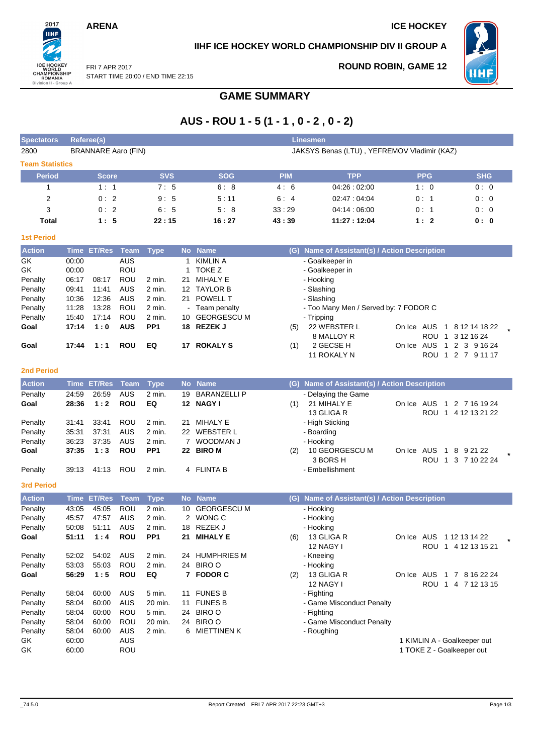## **ARENA** ICE HOCKEY

2017 **IIHF** 

ICE HOCKEY<br>
WORLD<br>
CHAMPIONSHIP<br>
ROMANIA<br>
Division II - Group A

FRI 7 APR 2017

## **IIHF ICE HOCKEY WORLD CHAMPIONSHIP DIV II GROUP A**

**ROUND ROBIN, GAME 12**



START TIME 20:00 / END TIME 22:15

# **GAME SUMMARY**

# **AUS - ROU 1 - 5 (1 - 1 , 0 - 2 , 0 - 2)**

| <b>Spectators</b>      | <b>Referee(s)</b>                                                         |                  |                          |                           |              |                              |            | <b>Linesmen</b>                               |            |                                                |
|------------------------|---------------------------------------------------------------------------|------------------|--------------------------|---------------------------|--------------|------------------------------|------------|-----------------------------------------------|------------|------------------------------------------------|
| 2800                   | <b>BRANNARE Aaro (FIN)</b><br>JAKSYS Benas (LTU), YEFREMOV Vladimir (KAZ) |                  |                          |                           |              |                              |            |                                               |            |                                                |
| <b>Team Statistics</b> |                                                                           |                  |                          |                           |              |                              |            |                                               |            |                                                |
| <b>Period</b>          |                                                                           | <b>Score</b>     |                          | <b>SVS</b>                |              | <b>SOG</b>                   | <b>PIM</b> | <b>TPP</b>                                    | <b>PPG</b> | <b>SHG</b>                                     |
| 1                      |                                                                           | 1:1              |                          | 7:5                       |              | 6:8                          | 4:6        | 04:26:02:00                                   | 1:0        | 0:0                                            |
| $\overline{c}$         |                                                                           | 0:2              |                          | 9:5                       |              | 5:11                         | 6:4        | 02:47:04:04                                   | 0:1        | 0:0                                            |
| 3                      |                                                                           | 0:2              |                          | 6:5                       |              | 5:8                          | 33:29      | 04:14:06:00                                   | 0:1        | 0:0                                            |
| Total                  |                                                                           | 1:5              |                          | 22:15                     |              | 16:27                        | 43:39      | 11:27:12:04                                   | 1:2        | 0: 0                                           |
| <b>1st Period</b>      |                                                                           |                  |                          |                           |              |                              |            |                                               |            |                                                |
| <b>Action</b>          |                                                                           | Time ET/Res Team |                          | <b>Type</b>               |              | No Name                      |            | (G) Name of Assistant(s) / Action Description |            |                                                |
| GK                     | 00:00                                                                     |                  | <b>AUS</b>               |                           | $\mathbf{1}$ | <b>KIMLIN A</b>              |            | - Goalkeeper in                               |            |                                                |
| GK                     | 00:00                                                                     |                  | ROU                      |                           | 1            | <b>TOKE Z</b>                |            | - Goalkeeper in                               |            |                                                |
| Penalty                | 06:17                                                                     | 08:17            | ROU                      | 2 min.                    | 21           | <b>MIHALY E</b>              |            | - Hooking                                     |            |                                                |
| Penalty                | 09:41                                                                     | 11:41            | <b>AUS</b>               | 2 min.                    |              | 12 TAYLOR B                  |            | - Slashing                                    |            |                                                |
| Penalty                | 10:36                                                                     | 12:36            | <b>AUS</b>               | 2 min.                    | 21           | <b>POWELL T</b>              |            | - Slashing                                    |            |                                                |
| Penalty                | 11:28                                                                     | 13:28            | <b>ROU</b>               | 2 min.                    |              | - Team penalty               |            | - Too Many Men / Served by: 7 FODOR C         |            |                                                |
| Penalty                | 15:40<br>17:14                                                            | 17:14<br>1:0     | <b>ROU</b><br><b>AUS</b> | 2 min.<br>PP <sub>1</sub> |              | 10 GEORGESCU M<br>18 REZEK J |            | - Tripping<br>22 WEBSTER L                    |            | On Ice AUS 1 8 12 14 18 22                     |
| Goal                   |                                                                           |                  |                          |                           |              |                              | (5)        | 8 MALLOY R                                    |            | ROU 1 3 12 16 24                               |
| Goal                   | 17:44                                                                     | 1:1              | <b>ROU</b>               | EQ                        |              | 17 ROKALYS                   | (1)        | 2 GECSE H                                     | On Ice AUS | 1 2 3 9 16 24                                  |
|                        |                                                                           |                  |                          |                           |              |                              |            | 11 ROKALY N                                   |            | ROU 1 2 7 91117                                |
|                        |                                                                           |                  |                          |                           |              |                              |            |                                               |            |                                                |
| <b>2nd Period</b>      |                                                                           |                  |                          |                           |              |                              |            |                                               |            |                                                |
| <b>Action</b>          | Time                                                                      | <b>ET/Res</b>    | Team                     | <b>Type</b>               | <b>No</b>    | <b>Name</b>                  |            | (G) Name of Assistant(s) / Action Description |            |                                                |
| Penalty                | 24:59                                                                     | 26:59            | <b>AUS</b>               | 2 min.                    | 19           | <b>BARANZELLI P</b>          |            | - Delaying the Game                           |            |                                                |
| Goal                   | 28:36                                                                     | 1:2              | <b>ROU</b>               | EQ                        |              | 12 NAGY I                    | (1)        | 21 MIHALY E                                   | On Ice AUS | 1 2 7 16 19 24                                 |
|                        |                                                                           |                  |                          |                           |              |                              |            | 13 GLIGA R                                    |            | ROU 1 4 12 13 21 22                            |
| Penalty                | 31:41                                                                     | 33:41            | ROU                      | 2 min.                    | 21           | <b>MIHALY E</b>              |            | - High Sticking                               |            |                                                |
| Penalty                | 35:31                                                                     | 37:31            | <b>AUS</b><br><b>AUS</b> | 2 min.                    | 22           | <b>WEBSTER L</b>             |            | - Boarding                                    |            |                                                |
| Penalty<br>Goal        | 36:23<br>37:35                                                            | 37:35<br>1:3     | <b>ROU</b>               | 2 min.<br>PP <sub>1</sub> |              | 7 WOODMAN J<br>22 BIRO M     | (2)        | - Hooking<br>10 GEORGESCU M                   | On Ice AUS | 8 9 21 22<br>$\mathbf{1}$                      |
|                        |                                                                           |                  |                          |                           |              |                              |            | 3 BORS H                                      |            | ROU 1 3 7 10 22 24                             |
| Penalty                | 39:13                                                                     | 41:13            | ROU                      | 2 min.                    |              | 4 FLINTA B                   |            | - Embellishment                               |            |                                                |
|                        |                                                                           |                  |                          |                           |              |                              |            |                                               |            |                                                |
| <b>3rd Period</b>      |                                                                           |                  |                          |                           |              |                              |            |                                               |            |                                                |
| <b>Action</b>          | <b>Time</b>                                                               | <b>ET/Res</b>    | <b>Team</b>              | <b>Type</b>               | <b>No</b>    | <b>Name</b>                  |            | (G) Name of Assistant(s) / Action Description |            |                                                |
| Penalty                | 43:05                                                                     | 45:05            | ROU                      | 2 min.                    | 10           | <b>GEORGESCU M</b>           |            | - Hooking                                     |            |                                                |
| Penalty                | 45:57                                                                     | 47:57            | AUS                      | 2 min.                    |              | 2 WONG C                     |            | - Hooking                                     |            |                                                |
| Penalty                | 50:08                                                                     | 51:11            | <b>AUS</b>               | 2 min.                    |              | 18 REZEK J                   |            | - Hooking                                     |            |                                                |
| Goal                   | 51:11                                                                     | 1:4              | <b>ROU</b>               | PP <sub>1</sub>           | 21           | <b>MIHALY E</b>              | (6)        | 13 GLIGA R<br>12 NAGY I                       |            | On Ice AUS 112 13 14 22<br>ROU 1 4 12 13 15 21 |
| Penalty                | 52:02                                                                     | 54:02            | AUS                      | 2 min.                    | 24           | <b>HUMPHRIES M</b>           |            | - Kneeing                                     |            |                                                |
| Penalty                | 53:03                                                                     | 55:03            | <b>ROU</b>               | 2 min.                    |              | 24 BIRO O                    |            | - Hooking                                     |            |                                                |
| Goal                   | 56:29                                                                     | 1:5              | <b>ROU</b>               | EQ                        |              | 7 FODOR C                    | (2)        | 13 GLIGA R                                    |            | On Ice AUS 1 7 8 16 22 24                      |
|                        |                                                                           |                  |                          |                           |              |                              |            | 12 NAGY I                                     |            | ROU 1 4 7 12 13 15                             |
| Penalty                | 58:04                                                                     | 60:00            | AUS                      | 5 min.                    | 11           | <b>FUNES B</b>               |            | - Fighting                                    |            |                                                |
| Penalty                | 58:04                                                                     | 60:00            | <b>AUS</b>               | 20 min.                   | 11           | <b>FUNES B</b>               |            | - Game Misconduct Penalty                     |            |                                                |
| Penalty                | 58:04                                                                     | 60:00            | <b>ROU</b>               | 5 min.                    | 24           | <b>BIRO O</b>                |            | - Fighting                                    |            |                                                |
| Penalty                | 58:04                                                                     | 60:00            | <b>ROU</b>               | 20 min.                   | 24           | <b>BIRO O</b>                |            | - Game Misconduct Penalty                     |            |                                                |
| Penalty                | 58:04                                                                     | 60:00            | AUS                      | 2 min.                    | 6            | MIETTINEN K                  |            | - Roughing                                    |            |                                                |
| GK                     | 60:00                                                                     |                  | <b>AUS</b>               |                           |              |                              |            |                                               |            | 1 KIMLIN A - Goalkeeper out                    |
| GK                     | 60:00                                                                     |                  | <b>ROU</b>               |                           |              |                              |            |                                               |            | 1 TOKE Z - Goalkeeper out                      |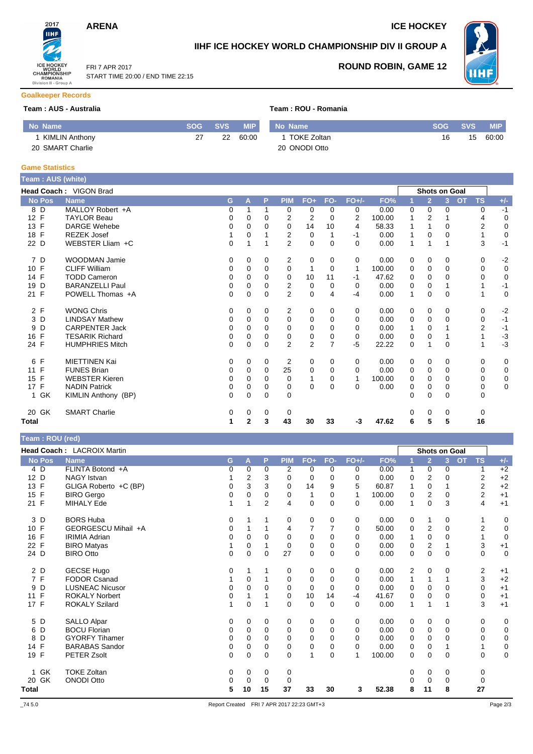FRI 7 APR 2017

START TIME 20:00 / END TIME 22:15



# **IIHF ICE HOCKEY WORLD CHAMPIONSHIP DIV II GROUP A**



**ROUND ROBIN, GAME 12**

#### **Goalkeeper Records**

#### **Team : AUS - Australia Team : ROU - Romania**

| No Name          | SOG I | SVS. | <b>MIP</b> | No Name       | <b>SOG</b> | SVS | <b>MIP</b> |
|------------------|-------|------|------------|---------------|------------|-----|------------|
| KIMLIN Anthony   | ົ     | つつ   | 60:00      | TOKE Zoltan   | 1 หิ       | 15  | 60:00      |
| 20 SMART Charlie |       |      |            | 20 ONODI Otto |            |     |            |

#### **Game Statistics**

| Team: AUS (white) |                        |    |          |             |                |                |          |                |        |          |                |                      |                        |             |
|-------------------|------------------------|----|----------|-------------|----------------|----------------|----------|----------------|--------|----------|----------------|----------------------|------------------------|-------------|
|                   | Head Coach: VIGON Brad |    |          |             |                |                |          |                |        |          |                | <b>Shots on Goal</b> |                        |             |
| <b>No Pos</b>     | <b>Name</b>            | G. | A        | P           | <b>PIM</b>     | $FO+$          | FO-      | $FO+/-$        | FO%    |          | $\overline{2}$ | 3 <sup>1</sup>       | <b>OT</b><br><b>TS</b> | $+/-$       |
| 8 D               | MALLOY Robert +A       | 0  | 1        | 1           | $\Omega$       | 0              | $\Omega$ | 0              | 0.00   | 0        | $\Omega$       | $\Omega$             | 0                      | $-1$        |
| 12 F              | <b>TAYLOR Beau</b>     | 0  | 0        | $\Omega$    | $\overline{2}$ | $\overline{2}$ | $\Omega$ | $\overline{2}$ | 100.00 |          | $\overline{2}$ |                      | 4                      | $\mathbf 0$ |
| 13 F              | <b>DARGE Wehebe</b>    | 0  | 0        | $\Omega$    | $\Omega$       | 14             | 10       | 4              | 58.33  |          |                | $\Omega$             | 2                      | $\mathbf 0$ |
| 18 F              | <b>REZEK Josef</b>     |    | 0        |             | 2              | 0              |          | -1             | 0.00   | 1        | $\Omega$       | 0                    |                        | $\mathbf 0$ |
| 22 D              | WEBSTER Lliam +C       | 0  | 1        |             | $\overline{2}$ | $\mathbf 0$    | $\Omega$ | $\Omega$       | 0.00   | 1        | 1              |                      | 3                      | $-1$        |
| 7 D               | <b>WOODMAN Jamie</b>   | 0  | 0        | 0           | $\overline{2}$ | 0              | 0        | 0              | 0.00   | 0        | 0              | 0                    | 0                      | $-2$        |
| 10 F              | <b>CLIFF William</b>   | 0  | 0        | 0           | 0              | 1              | 0        | $\mathbf 1$    | 100.00 | 0        | 0              | $\Omega$             | 0                      | $\mathbf 0$ |
| 14 F              | <b>TODD Cameron</b>    | 0  | 0        | $\Omega$    | $\Omega$       | 10             | 11       | -1             | 47.62  | 0        | $\Omega$       | $\Omega$             | 0                      | $\mathbf 0$ |
| 19 D              | <b>BARANZELLI Paul</b> | 0  | 0        | $\Omega$    | 2              | 0              | 0        | 0              | 0.00   | 0        | 0              |                      |                        | $-1$        |
| 21 F              | POWELL Thomas +A       | 0  | $\Omega$ | $\Omega$    | $\overline{2}$ | $\mathbf 0$    | 4        | $-4$           | 0.00   | 1        | $\Omega$       | $\Omega$             |                        | 0           |
| 2 F               | <b>WONG Chris</b>      | 0  | $\Omega$ | 0           | $\overline{2}$ | 0              | 0        | 0              | 0.00   | 0        | 0              | 0                    | 0                      | $-2$        |
| 3 D               | <b>LINDSAY Mathew</b>  | 0  | 0        | $\Omega$    | 0              | 0              | 0        | 0              | 0.00   | 0        | 0              | 0                    | 0                      | $-1$        |
| D<br>9            | <b>CARPENTER Jack</b>  | 0  | 0        | $\Omega$    | $\Omega$       | 0              | $\Omega$ | 0              | 0.00   |          | $\Omega$       |                      | 2                      | $-1$        |
| F<br>16           | <b>TESARIK Richard</b> | 0  | 0        | $\Omega$    | 0              | 0              | 0        | 0              | 0.00   | 0        | $\Omega$       |                      |                        | $-3$        |
| 24 F              | <b>HUMPHRIES Mitch</b> | 0  | $\Omega$ | $\Omega$    | $\overline{2}$ | $\overline{2}$ | 7        | $-5$           | 22.22  | $\Omega$ |                | $\Omega$             |                        | $-3$        |
| F<br>6            | <b>MIETTINEN Kai</b>   | 0  | 0        | $\mathbf 0$ | 2              | 0              | $\Omega$ | 0              | 0.00   | 0        | 0              | 0                    | 0                      | $\mathbf 0$ |
| 11 F              | <b>FUNES Brian</b>     | 0  | 0        | $\Omega$    | 25             | 0              | $\Omega$ | $\Omega$       | 0.00   | 0        | 0              | $\Omega$             | 0                      | 0           |
| 15 F              | <b>WEBSTER Kieren</b>  | 0  | $\Omega$ | $\Omega$    | $\Omega$       | 1              | 0        |                | 100.00 | $\Omega$ | $\Omega$       | $\Omega$             | 0                      | $\mathbf 0$ |
| 17 F              | <b>NADIN Patrick</b>   | 0  | 0        | 0           | 0              | $\Omega$       | 0        | $\Omega$       | 0.00   | 0        | 0              | 0                    | 0                      | $\mathbf 0$ |
| 1 GK              | KIMLIN Anthony (BP)    | 0  | 0        | $\mathbf 0$ | 0              |                |          |                |        | $\Omega$ | 0              | $\Omega$             | 0                      |             |
| 20 GK             | <b>SMART Charlie</b>   | 0  | 0        | 0           | 0              |                |          |                |        | 0        | 0              | 0                    | $\Omega$               |             |
| Total             |                        | 1  | 2        | 3           | 43             | 30             | 33       | $-3$           | 47.62  | 6        | 5              | 5                    | 16                     |             |

### **Team : ROU (red)**

|                    | Head Coach: LACROIX Martin |   |             |          |             |             |          |              |        |   |                | <b>Shots on Goal</b> |                |             |
|--------------------|----------------------------|---|-------------|----------|-------------|-------------|----------|--------------|--------|---|----------------|----------------------|----------------|-------------|
| <b>No Pos</b>      | <b>Name</b>                | G | A           | P        | <b>PIM</b>  | $FO+$       | FO-      | $FO+/-$      | FO%    |   | $\overline{2}$ | <b>OT</b><br>3       | <b>TS</b>      | $+/-$       |
| 4 D                | FLINTA Botond +A           | 0 | 0           | 0        | 2           | 0           | $\Omega$ | 0            | 0.00   | 1 | 0              | 0                    | 1              | $+2$        |
| D<br>12            | <b>NAGY Istvan</b>         |   | 2           | 3        | 0           | 0           | 0        | 0            | 0.00   | 0 | 2              | 0                    | 2              | $+2$        |
| 13 F               | GLIGA Roberto +C (BP)      | 0 | 3           | 3        | 0           | 14          | 9        | 5            | 60.87  | 1 | 0              |                      | 2              | $+2$        |
| $\mathsf{F}$<br>15 | <b>BIRO</b> Gergo          | 0 | 0           | 0        | 0           | 1           | 0        | $\mathbf{1}$ | 100.00 | 0 | $\overline{2}$ | 0                    | $\overline{2}$ | $+1$        |
| 21 F               | MIHALY Ede                 |   | 1           | 2        | 4           | 0           | $\Omega$ | 0            | 0.00   | 1 | $\mathbf 0$    | 3                    | 4              | $+1$        |
| 3 D                | <b>BORS Huba</b>           | 0 |             |          | 0           | 0           | $\Omega$ | 0            | 0.00   | 0 | 1              | 0                    |                | 0           |
| F<br>10            | GEORGESCU Mihail +A        | 0 |             |          | 4           | 7           |          | 0            | 50.00  | 0 | $\overline{2}$ | 0                    | $\overline{2}$ | 0           |
| F<br>16            | <b>IRIMIA Adrian</b>       | 0 | $\Omega$    | $\Omega$ | $\mathbf 0$ | 0           | $\Omega$ | 0            | 0.00   | 1 | $\mathbf 0$    | 0                    | 1              | $\mathbf 0$ |
| $\mathsf{F}$<br>22 | <b>BIRO Matyas</b>         |   | 0           |          | 0           | 0           | 0        | 0            | 0.00   | 0 | $\overline{2}$ |                      | 3              | $+1$        |
| 24 D               | <b>BIRO Otto</b>           | 0 | 0           | $\Omega$ | 27          | 0           | $\Omega$ | $\Omega$     | 0.00   | 0 | $\mathbf 0$    | 0                    | $\mathbf 0$    | $\mathbf 0$ |
| 2 D                | <b>GECSE Hugo</b>          | 0 |             |          | 0           | 0           | 0        | 0            | 0.00   | 2 | 0              | 0                    | 2              | $+1$        |
| 7 F                | FODOR Csanad               |   | 0           |          | 0           | 0           | $\Omega$ | 0            | 0.00   | 1 |                |                      | 3              | $+2$        |
| D<br>9             | <b>LUSNEAC Nicusor</b>     | 0 | 0           | $\Omega$ | $\mathbf 0$ | 0           | $\Omega$ | 0            | 0.00   | 0 | $\mathbf 0$    | 0                    | 0              | $+1$        |
| F<br>11            | <b>ROKALY Norbert</b>      | 0 |             |          | 0           | 10          | 14       | $-4$         | 41.67  | 0 | $\mathbf 0$    | 0                    | 0              | $+1$        |
| 17 F               | <b>ROKALY Szilard</b>      | 1 | $\mathbf 0$ |          | $\Omega$    | $\mathbf 0$ | $\Omega$ | $\Omega$     | 0.00   | 1 | 1              |                      | 3              | $+1$        |
| 5 D                | <b>SALLO Alpar</b>         | 0 | 0           | 0        | 0           | 0           | 0        | 0            | 0.00   | 0 | 0              | 0                    | 0              | 0           |
| D<br>6             | <b>BOCU Florian</b>        | 0 | $\Omega$    | $\Omega$ | 0           | $\mathbf 0$ | $\Omega$ | $\Omega$     | 0.00   | 0 | $\mathbf 0$    | $\Omega$             | $\mathbf 0$    | 0           |
| D<br>8             | <b>GYORFY Tihamer</b>      | 0 | 0           | 0        | 0           | 0           | 0        | 0            | 0.00   | 0 | $\mathbf 0$    | 0                    | 0              | 0           |
| F<br>14            | <b>BARABAS Sandor</b>      | 0 | 0           | $\Omega$ | 0           | 0           | $\Omega$ | $\Omega$     | 0.00   | 0 | 0              |                      | 1              | 0           |
| 19 F               | PETER Zsolt                | 0 | 0           | 0        | 0           | 1           | $\Omega$ | 1            | 100.00 | 0 | 0              | 0                    | 0              | 0           |
| GK<br>1            | <b>TOKE Zoltan</b>         | 0 | 0           | 0        | 0           |             |          |              |        | 0 | 0              | 0                    | 0              |             |
| GK<br>20           | <b>ONODI Otto</b>          | 0 | 0           | 0        | 0           |             |          |              |        | O | 0              | 0                    | 0              |             |
| Total              |                            | 5 | 10          | 15       | 37          | 33          | 30       | 3            | 52.38  | 8 | 11             | 8                    | 27             |             |